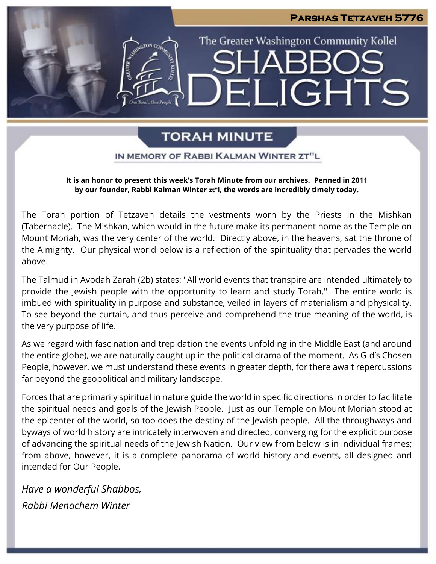# **Parshas Tetzaveh 5776** The Greater Washington Community Kollel  $4\Delta \mathsf{R}$ LIGHTS EI

# **TORAH MINUTE**

IN MEMORY OF RABBI KALMAN WINTER ZT"L

**It is an honor to present this week's Torah Minute from our archives. Penned in 2011 by our founder, Rabbi Kalman Winter zt"l, the words are incredibly timely today.**

The Torah portion of Tetzaveh details the vestments worn by the Priests in the Mishkan (Tabernacle). The Mishkan, which would in the future make its permanent home as the Temple on Mount Moriah, was the very center of the world. Directly above, in the heavens, sat the throne of the Almighty. Our physical world below is a reflection of the spirituality that pervades the world above.

The Talmud in Avodah Zarah (2b) states: "All world events that transpire are intended ultimately to provide the Jewish people with the opportunity to learn and study Torah." The entire world is imbued with spirituality in purpose and substance, veiled in layers of materialism and physicality. To see beyond the curtain, and thus perceive and comprehend the true meaning of the world, is the very purpose of life.

As we regard with fascination and trepidation the events unfolding in the Middle East (and around the entire globe), we are naturally caught up in the political drama of the moment. As G-d's Chosen People, however, we must understand these events in greater depth, for there await repercussions far beyond the geopolitical and military landscape.

Forces that are primarily spiritual in nature guide the world in specific directions in order to facilitate the spiritual needs and goals of the Jewish People. Just as our Temple on Mount Moriah stood at the epicenter of the world, so too does the destiny of the Jewish people. All the throughways and byways of world history are intricately interwoven and directed, converging for the explicit purpose of advancing the spiritual needs of the Jewish Nation. Our view from below is in individual frames; from above, however, it is a complete panorama of world history and events, all designed and intended for Our People.

*Have a wonderful Shabbos, Rabbi Menachem Winter*